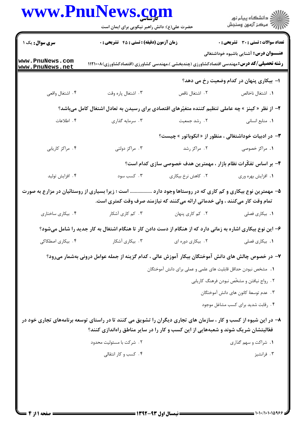|                                    | www.PnuNews.com                                                                                                                                                                                       |                                                                  |                                               |
|------------------------------------|-------------------------------------------------------------------------------------------------------------------------------------------------------------------------------------------------------|------------------------------------------------------------------|-----------------------------------------------|
| <b>سری سوال :</b> یک ۱             | حضرت علی(ع): دانش راهبر نیکویی برای ایمان است<br><b>زمان آزمون (دقیقه) : تستی : 45 گتشریحی : 0</b>                                                                                                    |                                                                  | <b>تعداد سوالات : تستی : 30 ٪ تشریحی : 0</b>  |
| www.PnuNews.com<br>www.PnuNews.net | <b>رشته تحصیلی/کد درس:</b> مهندسی اقتصادکشاورزی (چندبخشی )،مهندسی کشاورزی (اقتصادکشاورزی)۱۱۲۱۰۰۸                                                                                                      |                                                                  | <b>عنـــوان درس:</b> آشنایی باشیوه خوداشتغالی |
|                                    |                                                                                                                                                                                                       |                                                                  | ۱– بیکاری پنهان در کدام وضعیت رخ می دهد؟      |
| ۰۴ اشتغال واقعي                    | ۰۳ اشتغال پاره وقت                                                                                                                                                                                    | ٢. اشتغال ناقص                                                   | ٠١. اشتغال ناخالص                             |
|                                    | ۲– از نظر « کینز » چه عاملی تنظیم کننده متغیّرهای اقتصادی برای رسیدن به تعادل اشتغال کامل میباشد؟                                                                                                     |                                                                  |                                               |
| ۰۴ اطلاعات                         | ۰۳ سرمایه گذاری                                                                                                                                                                                       | ۰۲ رشد جمعیت                                                     | ٠١. منابع انساني                              |
|                                    |                                                                                                                                                                                                       | <b>۳</b> - در ادبیات خوداشتغالی ، منظور از « انکوباتور » چیست؟   |                                               |
| ۰۴ مراکز کاریابی                   | ۰۳ مراکز دولتی                                                                                                                                                                                        | ۰۲ مراکز رشد                                                     | ۰۱ مراکز خصوصی                                |
|                                    |                                                                                                                                                                                                       | ۴– بر اساس تفکّرات نظام بازار ، مهمترین هدف خصوصی سازی کدام است؟ |                                               |
| ۰۴ افزايش توليد                    | ۰۳ کسب سود                                                                                                                                                                                            | ٢. كاهش نرخ بيكاري                                               | ٠١. افزايش بهره وري                           |
|                                    | ۵– مهمترین نوع بیکاری و کم کاری که در روستاها وجود دارد  است ؛ زیرا بسیاری از روستائیان در مزارع به صورت<br>تمام وقت کار میکنند ، ولی خدماتی ارائه میکنند که نیازمند صرف وقت کمتری است.               |                                                                  |                                               |
| ۰۴ بیکاری ساختاری                  | ۰۳ کم کاری آشکار                                                                                                                                                                                      | ٢. کم کاری پنهان                                                 | ۰۱ بیکاری فصلی                                |
|                                    | ۶– این نوع بیکاری اشاره به زمانی دارد که از هنگام از دست دادن کار تا هنگام اشتغال به کار جدید را شامل میشود؟                                                                                          |                                                                  |                                               |
| ۰۴ بیکاری اصطکاکی                  | ۰۳ بیکاری آشکار                                                                                                                                                                                       | ٢. بيكارى دوره اى                                                | 1. بيكارى فصلى                                |
|                                    | ۷– در خصوص چالش های دانش آموختگان بیکار آموزش عالی ، کدام گزینه از جمله عوامل درونی بهشمار میرود؟                                                                                                     |                                                                  |                                               |
|                                    |                                                                                                                                                                                                       | 1.  مشخص نبودن حداقل قابليت هاى علمى و عملى براى دانش آموختگان   |                                               |
|                                    |                                                                                                                                                                                                       |                                                                  | ۰۲ رواج نیافتن و مشخّص نبودن فرهنگ کاریابی    |
|                                    |                                                                                                                                                                                                       |                                                                  | ۰۳ عدم توسعهٔ کانون های دانش آموختگان         |
|                                    |                                                                                                                                                                                                       |                                                                  | ۰۴ رقابت شدید برای کسب مشاغل موجود            |
|                                    | ۸– در این شیوه از کسب و کار ، سازمان های تجاری دیگران را تشویق می کنند تا در راستای توسعه برنامههای تجاری خود در<br>فعّالیتشان شریک شوند و شعبههایی از این کسب و کار را در سایر مناطق راهاندازی کنند؟ |                                                                  |                                               |
|                                    | ٢. شركت با مسئوليت محدود                                                                                                                                                                              |                                                                  | ۰۱ شراکت و سهم گذاری                          |
|                                    | ۰۴ کسب و کار انتقالی                                                                                                                                                                                  |                                                                  | ۰۳ فرانشيز                                    |
|                                    |                                                                                                                                                                                                       |                                                                  |                                               |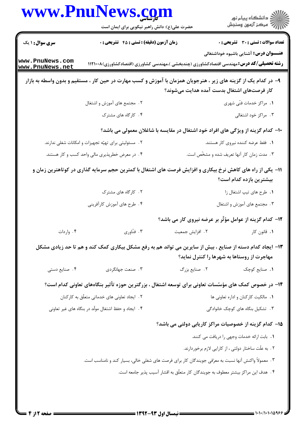|                                                     | www.PnuNews.com<br>حضرت علی(ع): دانش راهبر نیکویی برای ایمان است                                                |                                                                                   | ڪ دانشڪاه پيام نور<br><mark>ر</mark> √ مرڪز آزمون وسنڊش |
|-----------------------------------------------------|-----------------------------------------------------------------------------------------------------------------|-----------------------------------------------------------------------------------|---------------------------------------------------------|
| <b>سری سوال : ۱ یک</b>                              | زمان آزمون (دقیقه) : تستی : 45 آتشریحی : 0                                                                      |                                                                                   | <b>تعداد سوالات : تستی : 30 ٪ تشریحی : 0</b>            |
| www.PnuNews.com<br>www.PnuNews.net                  | <b>رشته تحصیلی/کد درس:</b> مهندسی اقتصادکشاورزی (چندبخشی )،مهندسی کشاورزی (اقتصادکشاورزی)۱۱۲۱۰۰۸                |                                                                                   | <b>عنـــوان درس:</b> آشنایی باشیوه خوداشتغالی           |
|                                                     | ۹- در کدام یک از گزینه های زیر ، هنرجویان همزمان با آموزش و کسب مهارت در حین کار ، مستقیم و بدون واسطه به بازار | کار فرصتهای اشتغال بدست آمده هدایت میشوند؟                                        |                                                         |
|                                                     | ۲. ً مجتمع های آموزش و اشتغال                                                                                   |                                                                                   | ٠١. مراكز خدمات فنّى شهرى                               |
|                                                     | ۴. کارگاه های مشترک                                                                                             |                                                                                   | ۰۳ مراکز خود اشتغالی                                    |
|                                                     |                                                                                                                 | ∙ا− کدام گزینه از ویژگی های افراد خود اشتغال در مقایسه با شاغلان معمولی می باشد؟  |                                                         |
|                                                     | ۲ .  مسئولیتی برای تهیّه تجهیزات و امکانات شغلی ندارند.                                                         |                                                                                   | ٠١. فقط عرضه كننده نيروى كار هستند.                     |
|                                                     | ۰۴ در معرض خطرپذیری مالی واحد کسب و کار هستند.                                                                  |                                                                                   | ۰۳ مدت زمان کار آنها تعریف شده و مشخّص است.             |
|                                                     | 11– یکی از راه های کاهش نرخ بیکاری و افزایش فرصت های اشتغال با کمترین حجم سرمایه گذاری در کوتاهترین زمان و      |                                                                                   | بیشترین بازده کدام است؟                                 |
|                                                     | ۰۲ کارگاه های مشترک                                                                                             |                                                                                   | ٠١. طرح هاى تيپ اشتغال زا                               |
|                                                     | ۰۴ طرح های آموزش کارآفرینی                                                                                      |                                                                                   | ۰۳ مجتمع های آموزش و اشتغال                             |
|                                                     |                                                                                                                 | ۱۲- کدام گزینه از عوامل مؤثّر بر عرضه نیروی کار می باشد؟                          |                                                         |
| ۰۴ واردات                                           | ۰۳ فنّاوري                                                                                                      | ٢. افزايش جمعيت                                                                   | ٠١. قانون كار                                           |
|                                                     | ۱۳– ایجاد کدام دسته از صنایع ، بیش از سایرین می تواند هم به رفع مشکل بیکاری کمک کند و هم تا حد زیادی مشکل       |                                                                                   | مهاجرت از روستاها به شهرها را کنترل نماید؟              |
| ۰۴ صنایع دستی                                       | ۰۳ صنعت جهانگردي                                                                                                | ٢. صنايع بزرگ                                                                     | ٠١. صنايع كوچك                                          |
|                                                     | ۱۴– در خصوص کمک های مؤسّسات تعاونی برای توسعه اشتغال ، بزرگترین حوزه تأثیر بنگاههای تعاونی کدام است؟            |                                                                                   |                                                         |
| ٢. ایجاد تعاونی های خدماتی متعلّق به کارکنان        |                                                                                                                 |                                                                                   | ٠١. مالكيت كاركنان و اداره تعاونى ها                    |
| ۰۴ ایجاد و حفظ اشتغال مولّد در بنگاه های غیر تعاونی |                                                                                                                 |                                                                                   | ۰۳ تشکیل بنگاه های کوچک خانوادگی                        |
|                                                     |                                                                                                                 | ۱۵– کدام گزینه از خصوصیات مراکز کاریابی دولتی می باشد؟                            |                                                         |
|                                                     |                                                                                                                 |                                                                                   | 1. بابت ارائه خدمات وجهى را دريافت مى كنند.             |
|                                                     |                                                                                                                 |                                                                                   | ۲ . به علّت ساختار دولتی ، از کارایی لازم برخوردارند.   |
|                                                     | ۰۳ معمولاً واکنش آنها نسبت به معرّفي جويندگان کار براي فرصت هاي شغلي خالي، بسيار کند و نامناسب است.             |                                                                                   |                                                         |
|                                                     |                                                                                                                 | ۴. هدف این مراکز بیشتر معطوف به جویندگان کار متعلّق به اقشار آسیب پذیر جامعه است. |                                                         |
|                                                     |                                                                                                                 |                                                                                   |                                                         |

 $\blacksquare$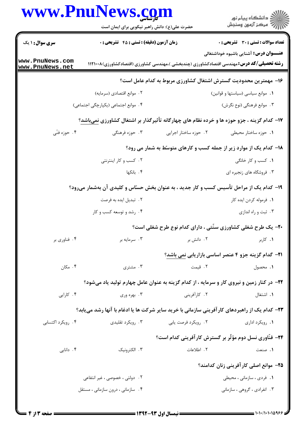## www.PnuNews.com الاد دانشگاه پيام نور<br>الا هرکز آزمون وسنجش حضرت علی(ع): دانش راهبر نیکویی برای ایمان است **تعداد سوالات : تستي : 30 - تشريحي : 0 سری سوال : ۱ یک زمان آزمون (دقیقه) : تستی : 45 ٪ تشریحی: 0 عنـــوان درس:** آشنایی باشیوه خوداشتغالی www.PnuNews.com **رشته تحصیلی/کد درس:**مهندسی اقتصادکشاورزی (چندبخشی )،مهندسی کشاورزی (اقتصادکشاورزی)۱۲۱۰۰۸ ( www.PnuNews.net ۱۶– مهمترین محدودیت گسترش اشتغال کشاورزی مربوط به کدام عامل است؟ ٢. موانع اقتصادي (سرمايه) **۱.** موانع سیاسی (سیاستها و قوانین) ۴. موانع اجتماعی (یکپارچگی اجتماعی) ۰۳ موانع فرهنگی (نوع نگرش) ۱۷- کدام گزینه ، جزو حوزه ها و خرده نظام های چهارگانه تأثیرگذار بر اشتغال کشاورزی نمیباشد؟ ۰۴ حوزه فنّی **۱.** حوزه ساختار محیطی مسلم تا ۲۰ حوزه ساختار اجرایی ۰۳ حوزه فرهنگ*ی* ۱۸- کدام یک از موارد زیر از جمله کسب و کارهای متوسط به شمار می رود؟ **۱.** کسب و کا<sub>ر</sub> خانگی ۰۲ کسب و کار اینترنتی ۴. بانکها ۰۳ فروشگاه های زنجیره ای ۱۹- کدام یک از مراحل تأسیس کسب و کار چدید ، به عنوان بخش حسّاس و کلیدی آن بهشمار می رود؟ **۱.** فرموله کردن ایده کار ۲. تبدیل ایده به فرصت ۰۴ رشد و توسعه کسب و کار ۰۳ ثبت و راه اندازی ۲۰- یک طرح شغلی کشاورزی سنّتی ، دارای کدام نوع طرح شغلی است؟ ۲. دانش بر ۰۱ کاربر ۴. فناوری بر ۰۳ سرمایه بر 21- گدام گزینه جزو ۴ عنصر اساسی بازاریابی نمی باشد؟ ۴. مکان ۰۳ مشتری ٢. قيمت ٠١. محصول ۲۲– در کنار زمین و نیروی کار و سرمایه ، از کدام گزینه به عنوان عامل چهارم تولید یاد میشود؟ ۰۴ کارایی ۲. کا, آفرینی ۰۳ بهره وری ٠١. اشتغال **۲۳**– کدام یک از راهبردهای کارآفرینی سازمانی با خرید سایر شرکت ها یا ادغام با آنها رشد می یابد؟ ۰۴ ویکرد اکتسابی. ۲. ,ویکرد فرصت یابی ۰۳ ویکرد تقلیدی. ۰۱. رویکرد اداری **34- فنّاوري نسل دوم مؤثّر بر گسترش کارآفرینی کدام است؟** ۰۴ دانایی ۰۳ الکترونیک ٢. اطلاعات ١. صنعت ۲۵– موانع اصلی کار آفرینی زنان کدامند؟ ۲ . دولتی ، خصوصی ، غیر انتفاعی **۱.** فردی ، سازمانی ، محیطی ۰۴ سازمانی ، درون سازمانی ، مستقل ۰۳ انفرادی ، گروهی ، سازمانی